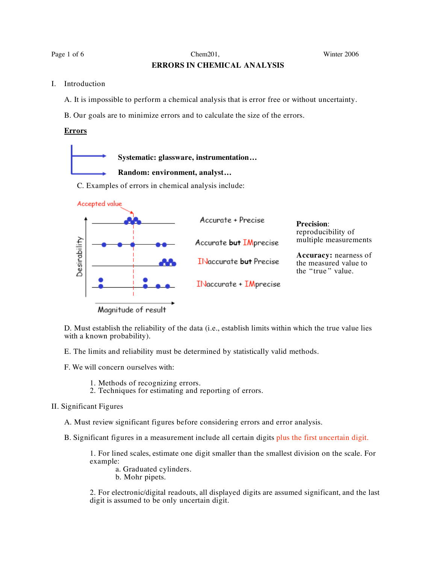Page 1 of 6 Chem201, Chem201, Chem201, Winter 2006

# **ERRORS IN CHEMICAL ANALYSIS**

I. Introduction

A. It is impossible to perform a chemical analysis that is error free or without uncertainty.

B. Our goals are to minimize errors and to calculate the size of the errors.

## **Errors**

C. Examples of errors in chemical analysis include: **Systematic: glassware, instrumentation… Random: environment, analyst…**



D. Must establish the reliability of the data (i.e., establish limits within which the true value lies with a known probability).

E. The limits and reliability must be determined by statistically valid methods.

F. We will concern ourselves with:

- 1. Methods of recognizing errors.
- 2. Techniques for estimating and reporting of errors.

### II. Significant Figures

A. Must review significant figures before considering errors and error analysis.

B. Significant figures in a measurement include all certain digits plus the first uncertain digit.

1. For lined scales, estimate one digit smaller than the smallest division on the scale. For example:

- a. Graduated cylinders.
- b. Mohr pipets.

2. For electronic/digital readouts, all displayed digits are assumed significant, and the last digit is assumed to be only uncertain digit.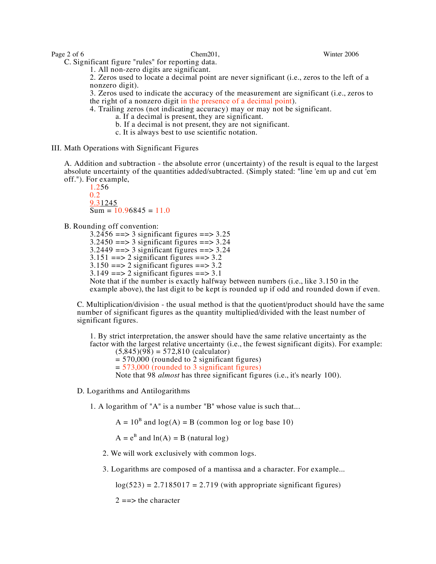C. Significant figure "rules" for reporting data.

1. All non-zero digits are significant.

2. Zeros used to locate a decimal point are never significant (i.e., zeros to the left of a nonzero digit).

3. Zeros used to indicate the accuracy of the measurement are significant (i.e., zeros to the right of a nonzero digit in the presence of a decimal point).

4. Trailing zeros (not indicating accuracy) may or may not be significant. a. If <sup>a</sup> decimal is present, they are significant.

- 
- b. If a decimal is not present, they are not significant.
- c. It is always best to use scientific notation.
- III. Math Operations with Significant Figures

A. Addition and subtraction - the absolute error (uncertainty) of the result is equal to the largest absolute uncertainty of the quantities added/subtracted. (Simply stated: "line 'em up and cut 'em off."). For example,

1.256 0.2 9.31245  $Sum = 10.96845 = 11.0$ 

B. Rounding off convention:

 $3.2456 \leftrightharpoons 3$  significant figures =  $\gt$  3.25  $3.2450 == > 3$  significant figures  $== > 3.24$  $3.2449 == > 3$  significant figures  $== > 3.24$  $3.151 == > 2$  significant figures  $== > 3.2$  $3.150 \implies 2$  significant figures  $==>3.2$  $3.149 \implies 2$  significant figures ==> 3.1 Note that if the number is exactly halfway between numbers (i.e., like 3.150 in the example above), the last digit to be kept is rounded up if odd and rounded down if even.

C. Multiplication/division - the usual method is that the quotient/product should have the same number of significant figures as the quantity multiplied/divided with the least number of significant figures.

1. By strict interpretation, the answer should have the same relative uncertainty as the factor with the largest relative uncertainty (i.e., the fewest significant digits). For example:  $(5,845)(98) = 572,810$  (calculator)

= 570,000 (rounded to 2 significant figures)

 $= 573,000$  (rounded to 3 significant figures)

Note that 98 *almost* has three significant figures (i.e., it's nearly 100).

D. Logarithms and Antilogarithms

1. A logarithm of "A" is a number "B" whose value is such that...

 $A = 10^{B}$  and  $log(A) = B$  (common log or log base 10)

 $A = e^{B}$  and  $ln(A) = B$  (natural log)

- 2. We will work exclusively with common logs.
- 3. Logarithms are composed of a mantissa and a character. For example...

 $log(523) = 2.7185017 = 2.719$  (with appropriate significant figures)

 $2 ==$  the character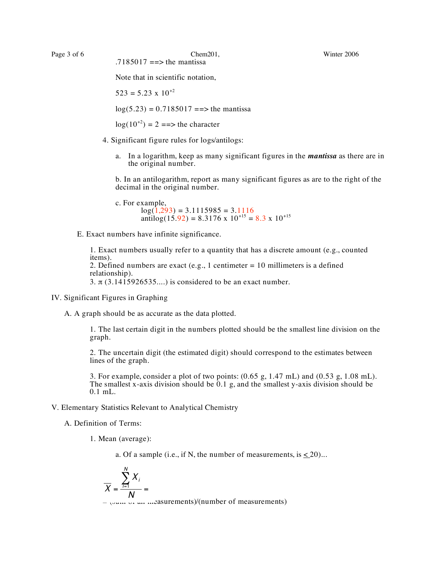Note that in scientific notation,

 $523 = 5.23 \times 10^{+2}$ 

 $log(5.23) = 0.7185017 == >$  the mantissa

 $log(10^{+2}) = 2 \implies$  the character

- 4. Significant figure rules for logs/antilogs:
	- a. In a logarithm, keep as many significant figures in the *mantissa* as there are in the original number.

b. In an antilogarithm, report as many significant figures as are to the right of the decimal in the original number.

c. For example,  
\n
$$
log(1,293) = 3.1115985 = 3.1116
$$
  
\n $antilog(15.92) = 8.3176 \times 10^{+15} = 8.3 \times 10^{+15}$ 

E. Exact numbers have infinite significance.

1. Exact numbers usually refer to a quantity that has a discrete amount (e.g., counted items). 2. Defined numbers are exact (e.g., 1 centimeter  $= 10$  millimeters is a defined relationship).

3.  $\pi$  (3.1415926535....) is considered to be an exact number.

IV. Significant Figures in Graphing

A. A graph should be as accurate as the data plotted.

1. The last certain digit in the numbers plotted should be the smallest line division on the graph.

2. The uncertain digit (the estimated digit) should correspond to the estimates between lines of the graph.

3. For example, consider a plot of two points: (0.65 g, 1.47 mL) and (0.53 g, 1.08 mL). The smallest x-axis division should be  $\hat{0.1}$  g, and the smallest y-axis division should be 0.1 mL.

V. Elementary Statistics Relevant to Analytical Chemistry

A. Definition of Terms:

1. Mean (average):

a. Of a sample (i.e., if N, the number of measurements, is  $\leq 20$ )...

$$
\overline{X} = \frac{\sum_{i=1}^{N} X_i}{N} =
$$

 $=$   $\sqrt{3}$  and measurements)/(number of measurements)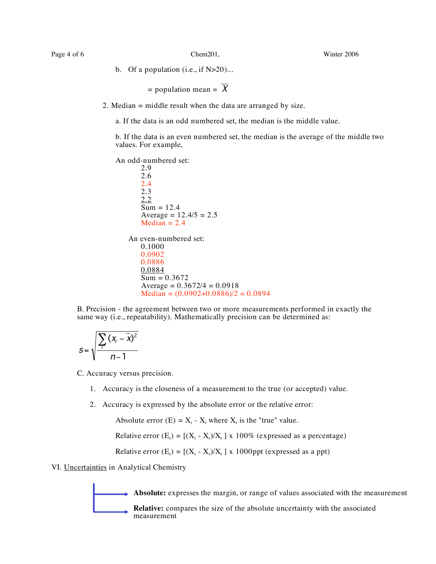b. Of a population (i.e., if  $N>20$ )...

= population mean = 
$$
\overline{X}
$$

2. Median = middle result when the data are arranged by size.

a. If the data is an odd numbered set, the median is the middle value.

b. If the data is an even numbered set, the median is the average of the middle two values. For example,

An odd-numbered set:

2.9 2.6 2.4 2.3 2.2  $Sum = 12.4$ Average =  $12.4/5 = 2.5$  $Median = 2.4$ An even-numbered set: 0.1000 0.0902 0.0886 0.0884  $Sum = 0.3672$ Average =  $0.3672/4 = 0.0918$  $Median = (0.0902+0.0886)/2 = 0.0894$ 

B. Precision - the agreement between two or more measurements performed in exactly the same way (i.e., repeatability). Mathematically precision can be determined as:

$$
S = \sqrt{\frac{\sum_i (x_i - \overline{x})^2}{n-1}}
$$

C. Accuracy versus precision.

- 1. Accuracy is the closeness of a measurement to the true (or accepted) value.
- 2. Accuracy is expressed by the absolute error or the relative error:

Absolute error  $(E) = X_i - X_t$  where  $X_t$  is the "true" value.

Relative error  $(E_r) = [(X_i - X_t)/X_t] \times 100\%$  (expressed as a percentage)

Relative error  $(E_r) = [(X_i - X_t)/X_t]$  x 1000ppt (expressed as a ppt)

VI. Uncertainties in Analytical Chemistry

Absolute: expresses the margin, or range of values associated with the measurement

**Relative:** compares the size of the absolute uncertainty with the associated measurement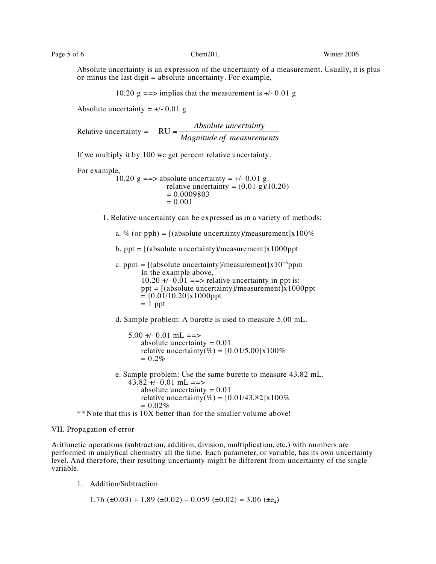Absolute uncertainty is an expression of the uncertainty of a measurement. Usually, it is plusor-minus the last digit  $=$  absolute uncertainty. For example,

10.20  $g = \Rightarrow$  implies that the measurement is  $\neq$  0.01 g

Absolute uncertainty  $= +/- 0.01$  g

Relative uncertainty = RU = *Absolute uncertainty Magnitude of measurements*

If we multiply it by 100 we get percent relative uncertainty.

For example,

10.20 g = = > absolute uncertainty =  $+/-0.01$  g relative uncertainty =  $(0.01 \text{ g})/10.20$  $= 0.0009803$ <br> $= 0.001$ 

1. Relative uncertainty can be expressed as in a variety of methods:

a. % (or pph) =  $\frac{1}{2}$  (absolute uncertainty)/measurement |x100%

b. ppt =  $[(absolute uncertainty)/measurement] \times 1000$ ppt

c. ppm =  $[(absolute uncertainty)/measurement] \times 10^{+6}$ ppm In the example above,  $10.20 +10.01 ==$  relative uncertainty in ppt is:  $ppt = [(absolute uncertainty)/measurement] \hat{x} 1000ppt$  $= [0.01/10.20]$ x1000ppt  $= 1$  ppt

d. Sample problem: A burette is used to measure 5.00 mL.

 $5.00 + -0.01$  mL ==> absolute uncertainty  $= 0.01$ relative uncertainty(%) =  $[0.01/5.00] \times 100\%$  $= 0.2\%$ 

e. Sample problem: Use the same burette to measure 43.82 mL.  $43.82 + (-0.01 \text{ mL} == )$ absolute uncertainty  $= 0.01$ relative uncertainty(%) =  $[0.01/43.82] \times 100\%$  $= 0.02\%$ 

\* \*Note that this is 10X better than for the smaller volume above!

### VII. Propagation of error

Arithmetic operations (subtraction, addition, division, multiplication, etc.) with numbers are performed in analytical chemistry all the time. Each parameter, or variable, has its own uncertainty level. And therefore, their resulting uncertainty might be different from uncertainty of the single variable.

1. Addition/Subtraction

 $1.76 \ (\pm 0.03) + 1.89 \ (\pm 0.02) - 0.059 \ (\pm 0.02) = 3.06 \ (\pm \epsilon_4)$